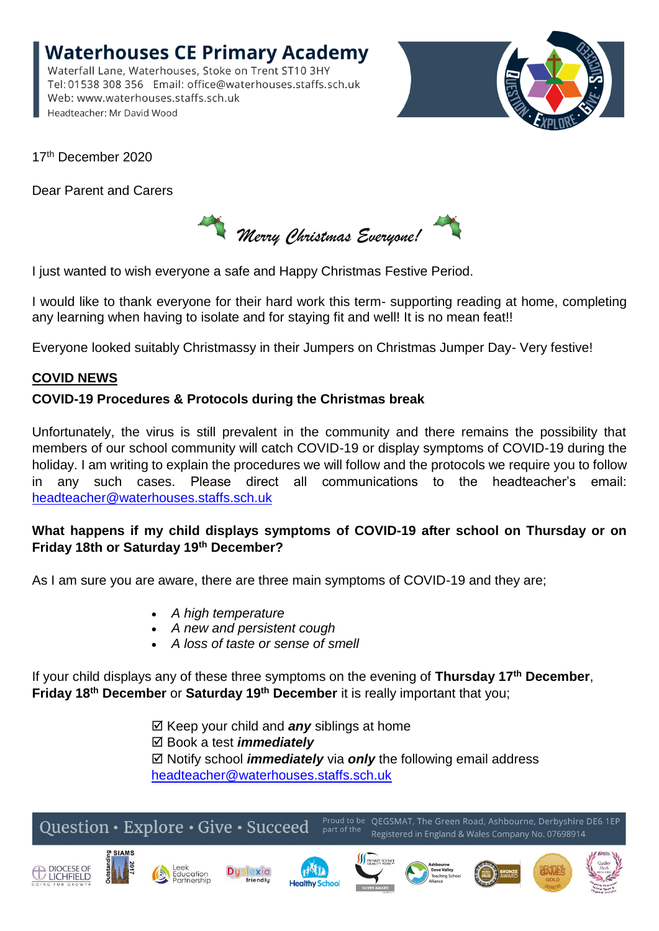**Waterhouses CE Primary Academy** Waterfall Lane, Waterhouses, Stoke on Trent ST10 3HY Tel: 01538 308 356 Email: office@waterhouses.staffs.sch.uk Web: www.waterhouses.staffs.sch.uk Headteacher: Mr David Wood



17<sup>th</sup> December 2020

Dear Parent and Carers

*Merry Christmas Everyone!*

I just wanted to wish everyone a safe and Happy Christmas Festive Period.

I would like to thank everyone for their hard work this term- supporting reading at home, completing any learning when having to isolate and for staying fit and well! It is no mean feat!!

Everyone looked suitably Christmassy in their Jumpers on Christmas Jumper Day- Very festive!

# **COVID NEWS**

# **COVID-19 Procedures & Protocols during the Christmas break**

Unfortunately, the virus is still prevalent in the community and there remains the possibility that members of our school community will catch COVID-19 or display symptoms of COVID-19 during the holiday. I am writing to explain the procedures we will follow and the protocols we require you to follow any such cases. Please direct all communications to the headteacher's email: [headteacher@waterhouses.staffs.sch.uk](mailto:headteacher@waterhouses.staffs.sch.uk)

### **What happens if my child displays symptoms of COVID-19 after school on Thursday or on Friday 18th or Saturday 19th December?**

As I am sure you are aware, there are three main symptoms of COVID-19 and they are;

- *A high temperature*
- *A new and persistent cough*
- *A loss of taste or sense of smell*

If your child displays any of these three symptoms on the evening of **Thursday 17th December**, **Friday 18th December** or **Saturday 19th December** it is really important that you;

> $\boxtimes$  Keep your child and **any** siblings at home Book a test *immediately* Notify school *immediately* via *only* the following email address [headteacher@waterhouses.staffs.sch.uk](mailto:headteacher@waterhouses.staffs.sch.uk)

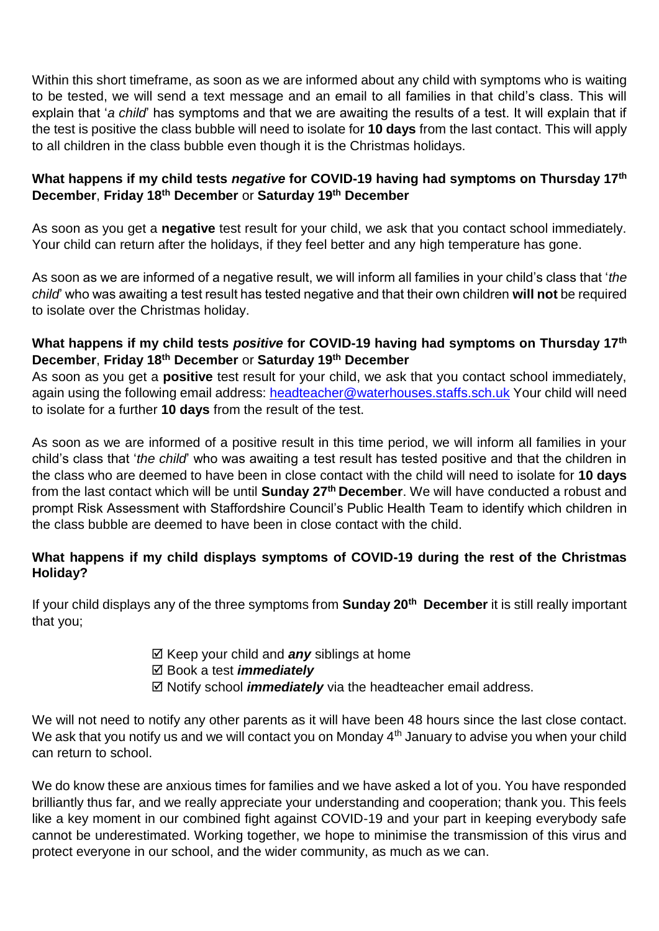Within this short timeframe, as soon as we are informed about any child with symptoms who is waiting to be tested, we will send a text message and an email to all families in that child's class. This will explain that '*a child*' has symptoms and that we are awaiting the results of a test. It will explain that if the test is positive the class bubble will need to isolate for **10 days** from the last contact. This will apply to all children in the class bubble even though it is the Christmas holidays.

### **What happens if my child tests** *negative* **for COVID-19 having had symptoms on Thursday 17th December**, **Friday 18th December** or **Saturday 19th December**

As soon as you get a **negative** test result for your child, we ask that you contact school immediately. Your child can return after the holidays, if they feel better and any high temperature has gone.

As soon as we are informed of a negative result, we will inform all families in your child's class that '*the child*' who was awaiting a test result has tested negative and that their own children **will not** be required to isolate over the Christmas holiday.

## **What happens if my child tests** *positive* **for COVID-19 having had symptoms on Thursday 17th December**, **Friday 18th December** or **Saturday 19th December**

As soon as you get a **positive** test result for your child, we ask that you contact school immediately, again using the following email address: [headteacher@waterhouses.staffs.sch.uk](mailto:headteacher@waterhouses.staffs.sch.uk) Your child will need to isolate for a further **10 days** from the result of the test.

As soon as we are informed of a positive result in this time period, we will inform all families in your child's class that '*the child*' who was awaiting a test result has tested positive and that the children in the class who are deemed to have been in close contact with the child will need to isolate for **10 days**  from the last contact which will be until **Sunday 27<sup>th</sup> December**. We will have conducted a robust and prompt Risk Assessment with Staffordshire Council's Public Health Team to identify which children in the class bubble are deemed to have been in close contact with the child.

# **What happens if my child displays symptoms of COVID-19 during the rest of the Christmas Holiday?**

If your child displays any of the three symptoms from **Sunday 20th December** it is still really important that you;

- $\boxtimes$  Keep your child and **any** siblings at home
- Book a test *immediately*
- ⊠ Notify school *immediately* via the headteacher email address.

We will not need to notify any other parents as it will have been 48 hours since the last close contact. We ask that you notify us and we will contact you on Monday  $4<sup>th</sup>$  January to advise you when your child can return to school.

We do know these are anxious times for families and we have asked a lot of you. You have responded brilliantly thus far, and we really appreciate your understanding and cooperation; thank you. This feels like a key moment in our combined fight against COVID-19 and your part in keeping everybody safe cannot be underestimated. Working together, we hope to minimise the transmission of this virus and protect everyone in our school, and the wider community, as much as we can.